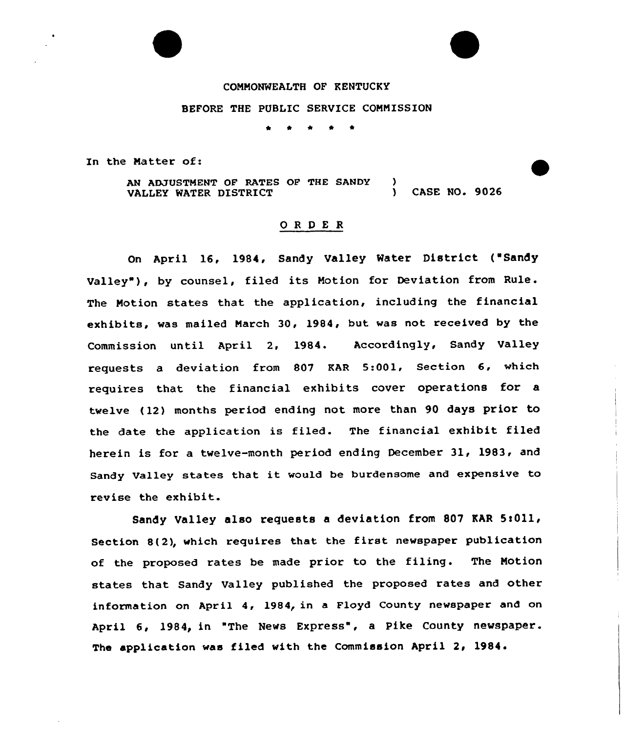## COMMONWEALTH OF KENTUCKY

## BEFORE THE PUBLIC SERVICE COMMISSION

\* \* \* <sup>4</sup> \*

In the Matter of:

AN ADJUSTMENT OF RATES OF THE SANDY )<br>VALLEY WATER DISTRICT VALLEY WATER DISTRICT (3000) CASE NO. 9026

## ORDER

On April 16, 1984, Sandy Valley Water District ("Sandy Valley"), by counsel, filed its Motion for Deviation from Rule. The Motion states that the application, including the financial exhibits, was mailed March 30, 1984, but was not received by the Commission until April 2, 1984. Accordingly, Sandy Valley requests a deviation from 807 KAR 5:001, Section 6, which requires that the financial exhibits cover operations for a twelve (12) months period ending not more than 90 days prior to the date the application is filed. The financial exhibit filed herein is for a twelve-month period ending December 31, 1983, and Sandy Valley states that it would be burdensome and expensive to revise the exhibit.

Sandy Valley also requests a deviation from 807 EAR 5!011, Section 8(2), which requires that the first newspaper publication of the proposed rates be made prior to the filing. The Motion states that Sandy Valley published the proposed rates and other information on April 4, 1984, in a Floyd County newspaper and on April 6, 1984, in "The News Express", a Pike County newspaper. The application was filed with the Commission April 2, 1984.